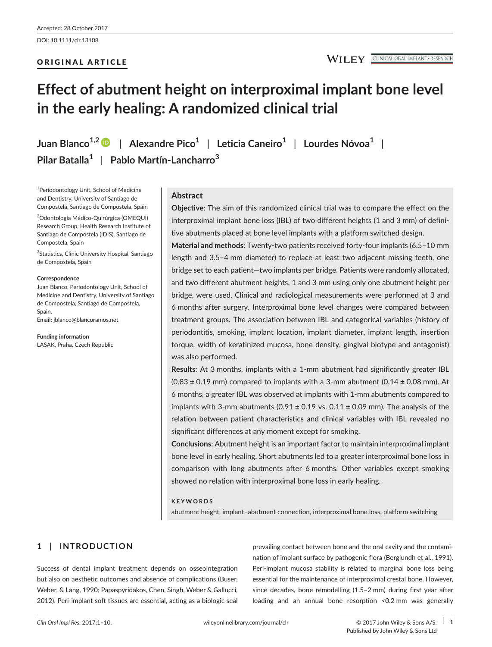# ORIGINAL ARTICLE

#### **CLINICAL ORAL IMPLANTS RESEARCH**

# **Effect of abutment height on interproximal implant bone level in the early healing: A randomized clinical trial**

**Juan Blanco1,[2](http://orcid.org/0000-0001-9251-513X)** | **Alexandre Pico<sup>1</sup>** | **Leticia Caneiro<sup>1</sup>** | **Lourdes Nóvoa<sup>1</sup>** | **Pilar Batalla<sup>1</sup>** | **Pablo Martín-Lancharro<sup>3</sup>**

1 Periodontology Unit, School of Medicine and Dentistry, University of Santiago de Compostela, Santiago de Compostela, Spain

2 Odontología Médico-Quirúrgica (OMEQUI) Research Group, Health Research Institute of Santiago de Compostela (IDIS), Santiago de Compostela, Spain

<sup>3</sup>Statistics, Clinic University Hospital, Santiago de Compostela, Spain

#### **Correspondence**

Juan Blanco, Periodontology Unit, School of Medicine and Dentistry, University of Santiago de Compostela, Santiago de Compostela, Spain. Email: [jblanco@blancoramos.net](mailto:jblanco@blancoramos.net)

**Funding information**

LASAK, Praha, Czech Republic

# **Abstract**

**Objective**: The aim of this randomized clinical trial was to compare the effect on the interproximal implant bone loss (IBL) of two different heights (1 and 3 mm) of definitive abutments placed at bone level implants with a platform switched design.

**Material and methods**: Twenty-two patients received forty-four implants (6.5–10 mm length and 3.5–4 mm diameter) to replace at least two adjacent missing teeth, one bridge set to each patient—two implants per bridge. Patients were randomly allocated, and two different abutment heights, 1 and 3 mm using only one abutment height per bridge, were used. Clinical and radiological measurements were performed at 3 and 6 months after surgery. Interproximal bone level changes were compared between treatment groups. The association between IBL and categorical variables (history of periodontitis, smoking, implant location, implant diameter, implant length, insertion torque, width of keratinized mucosa, bone density, gingival biotype and antagonist) was also performed.

**Results**: At 3 months, implants with a 1-mm abutment had significantly greater IBL  $(0.83 \pm 0.19$  mm) compared to implants with a 3-mm abutment  $(0.14 \pm 0.08$  mm). At 6 months, a greater IBL was observed at implants with 1-mm abutments compared to implants with 3-mm abutments (0.91  $\pm$  0.19 vs. 0.11  $\pm$  0.09 mm). The analysis of the relation between patient characteristics and clinical variables with IBL revealed no significant differences at any moment except for smoking.

**Conclusions**: Abutment height is an important factor to maintain interproximal implant bone level in early healing. Short abutments led to a greater interproximal bone loss in comparison with long abutments after 6 months. Other variables except smoking showed no relation with interproximal bone loss in early healing.

## **KEYWORDS**

abutment height, implant–abutment connection, interproximal bone loss, platform switching

# **1** | **INTRODUCTION**

Success of dental implant treatment depends on osseointegration but also on aesthetic outcomes and absence of complications (Buser, Weber, & Lang, 1990; Papaspyridakos, Chen, Singh, Weber & Gallucci, 2012). Peri-implant soft tissues are essential, acting as a biologic seal

prevailing contact between bone and the oral cavity and the contamination of implant surface by pathogenic flora (Berglundh et al., 1991). Peri-implant mucosa stability is related to marginal bone loss being essential for the maintenance of interproximal crestal bone. However, since decades, bone remodelling (1.5–2 mm) during first year after loading and an annual bone resorption <0.2 mm was generally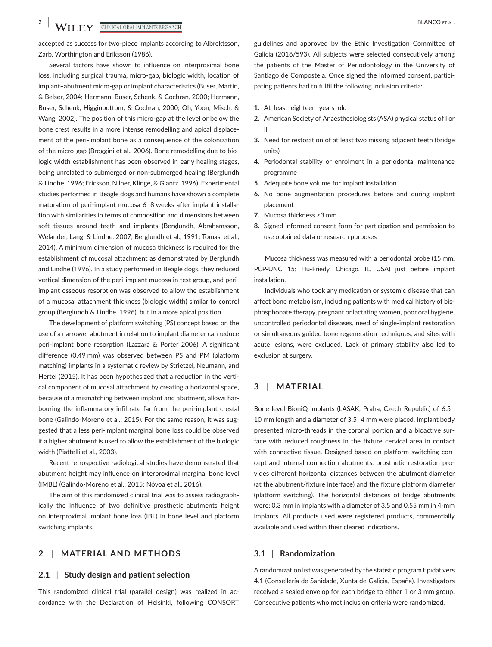accepted as success for two-piece implants according to Albrektsson, Zarb, Worthington and Eriksson (1986).

Several factors have shown to influence on interproximal bone loss, including surgical trauma, micro-gap, biologic width, location of implant–abutment micro-gap or implant characteristics (Buser, Martin, & Belser, 2004; Hermann, Buser, Schenk, & Cochran, 2000; Hermann, Buser, Schenk, Higginbottom, & Cochran, 2000; Oh, Yoon, Misch, & Wang, 2002). The position of this micro-gap at the level or below the bone crest results in a more intense remodelling and apical displacement of the peri-implant bone as a consequence of the colonization of the micro-gap (Broggini et al., 2006). Bone remodelling due to biologic width establishment has been observed in early healing stages, being unrelated to submerged or non-submerged healing (Berglundh & Lindhe, 1996; Ericsson, Nilner, Klinge, & Glantz, 1996). Experimental studies performed in Beagle dogs and humans have shown a complete maturation of peri-implant mucosa 6–8 weeks after implant installation with similarities in terms of composition and dimensions between soft tissues around teeth and implants (Berglundh, Abrahamsson, Welander, Lang, & Lindhe, 2007; Berglundh et al., 1991; Tomasi et al., 2014). A minimum dimension of mucosa thickness is required for the establishment of mucosal attachment as demonstrated by Berglundh and Lindhe (1996). In a study performed in Beagle dogs, they reduced vertical dimension of the peri-implant mucosa in test group, and periimplant osseous resorption was observed to allow the establishment of a mucosal attachment thickness (biologic width) similar to control group (Berglundh & Lindhe, 1996), but in a more apical position.

The development of platform switching (PS) concept based on the use of a narrower abutment in relation to implant diameter can reduce peri-implant bone resorption (Lazzara & Porter 2006). A significant difference (0.49 mm) was observed between PS and PM (platform matching) implants in a systematic review by Strietzel, Neumann, and Hertel (2015). It has been hypothesized that a reduction in the vertical component of mucosal attachment by creating a horizontal space, because of a mismatching between implant and abutment, allows harbouring the inflammatory infiltrate far from the peri-implant crestal bone (Galindo-Moreno et al., 2015). For the same reason, it was suggested that a less peri-implant marginal bone loss could be observed if a higher abutment is used to allow the establishment of the biologic width (Piattelli et al., 2003).

Recent retrospective radiological studies have demonstrated that abutment height may influence on interproximal marginal bone level (IMBL) (Galindo-Moreno et al., 2015; Nóvoa et al., 2016).

The aim of this randomized clinical trial was to assess radiographically the influence of two definitive prosthetic abutments height on interproximal implant bone loss (IBL) in bone level and platform switching implants.

# **2** | **MATERIAL AND METHODS**

## **2.1** | **Study design and patient selection**

This randomized clinical trial (parallel design) was realized in accordance with the Declaration of Helsinki, following CONSORT guidelines and approved by the Ethic Investigation Committee of Galicia (2016/593). All subjects were selected consecutively among the patients of the Master of Periodontology in the University of Santiago de Compostela. Once signed the informed consent, participating patients had to fulfil the following inclusion criteria:

- **1.** At least eighteen years old
- **2.** American Society of Anaesthesiologists (ASA) physical status of I or II
- **3.** Need for restoration of at least two missing adjacent teeth (bridge units)
- **4.** Periodontal stability or enrolment in a periodontal maintenance programme
- **5.** Adequate bone volume for implant installation
- **6.** No bone augmentation procedures before and during implant placement
- **7.** Mucosa thickness ≥3 mm
- **8.** Signed informed consent form for participation and permission to use obtained data or research purposes

Mucosa thickness was measured with a periodontal probe (15 mm, PCP-UNC 15; Hu-Friedy, Chicago, IL, USA) just before implant installation.

Individuals who took any medication or systemic disease that can affect bone metabolism, including patients with medical history of bisphosphonate therapy, pregnant or lactating women, poor oral hygiene, uncontrolled periodontal diseases, need of single-implant restoration or simultaneous guided bone regeneration techniques, and sites with acute lesions, were excluded. Lack of primary stability also led to exclusion at surgery.

# **3** | **MATERIAL**

Bone level BioniQ implants (LASAK, Praha, Czech Republic) of 6.5– 10 mm length and a diameter of 3.5–4 mm were placed. Implant body presented micro-threads in the coronal portion and a bioactive surface with reduced roughness in the fixture cervical area in contact with connective tissue. Designed based on platform switching concept and internal connection abutments, prosthetic restoration provides different horizontal distances between the abutment diameter (at the abutment/fixture interface) and the fixture platform diameter (platform switching). The horizontal distances of bridge abutments were: 0.3 mm in implants with a diameter of 3.5 and 0.55 mm in 4-mm implants. All products used were registered products, commercially available and used within their cleared indications.

#### **3.1** | **Randomization**

A randomization list was generated by the statistic program Epidat vers 4.1 (Consellería de Sanidade, Xunta de Galicia, España). Investigators received a sealed envelop for each bridge to either 1 or 3 mm group. Consecutive patients who met inclusion criteria were randomized.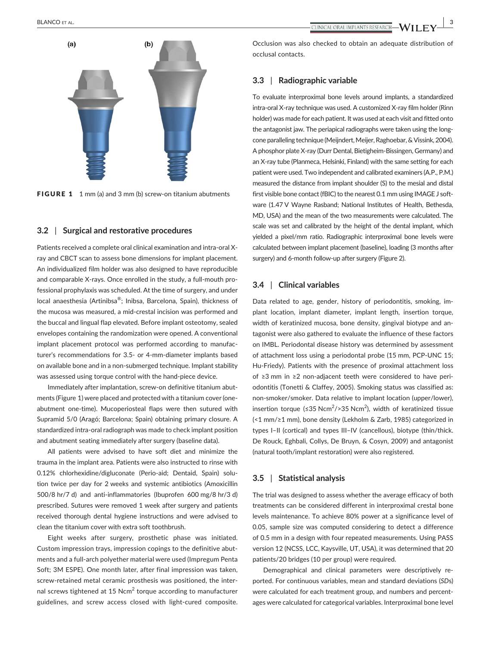

FIGURE 1 1 mm (a) and 3 mm (b) screw-on titanium abutments

## **3.2** | **Surgical and restorative procedures**

Patients received a complete oral clinical examination and intra-oral Xray and CBCT scan to assess bone dimensions for implant placement. An individualized film holder was also designed to have reproducible and comparable X-rays. Once enrolled in the study, a full-mouth professional prophylaxis was scheduled. At the time of surgery, and under local anaesthesia (Artinibsa®; Inibsa, Barcelona, Spain), thickness of the mucosa was measured, a mid-crestal incision was performed and the buccal and lingual flap elevated. Before implant osteotomy, sealed envelopes containing the randomization were opened. A conventional implant placement protocol was performed according to manufacturer's recommendations for 3.5- or 4-mm-diameter implants based on available bone and in a non-submerged technique. Implant stability was assessed using torque control with the hand-piece device.

Immediately after implantation, screw-on definitive titanium abutments (Figure 1) were placed and protected with a titanium cover (oneabutment one-time). Mucoperiosteal flaps were then sutured with Supramid 5/0 (Aragó; Barcelona; Spain) obtaining primary closure. A standardized intra-oral radiograph was made to check implant position and abutment seating immediately after surgery (baseline data).

All patients were advised to have soft diet and minimize the trauma in the implant area. Patients were also instructed to rinse with 0.12% chlorhexidine/digluconate (Perio-aid; Dentaid, Spain) solution twice per day for 2 weeks and systemic antibiotics (Amoxicillin 500/8 hr/7 d) and anti-inflammatories (Ibuprofen 600 mg/8 hr/3 d) prescribed. Sutures were removed 1 week after surgery and patients received thorough dental hygiene instructions and were advised to clean the titanium cover with extra soft toothbrush.

Eight weeks after surgery, prosthetic phase was initiated. Custom impression trays, impression copings to the definitive abutments and a full-arch polyether material were used (Impregum Penta Soft; 3M ESPE). One month later, after final impression was taken, screw-retained metal ceramic prosthesis was positioned, the internal screws tightened at 15  $\mathrm{Ncm}^2$  torque according to manufacturer guidelines, and screw access closed with light-cured composite.

Occlusion was also checked to obtain an adequate distribution of occlusal contacts.

# **3.3** | **Radiographic variable**

To evaluate interproximal bone levels around implants, a standardized intra-oral X-ray technique was used. A customized X-ray film holder (Rinn holder) was made for each patient. It was used at each visit and fitted onto the antagonist jaw. The periapical radiographs were taken using the longcone paralleling technique (Meijndert, Meijer, Raghoebar, & Vissink, 2004). A phosphor plate X-ray (Durr Dental, Bietigheim-Bissingen, Germany) and an X-ray tube (Planmeca, Helsinki, Finland) with the same setting for each patient were used. Two independent and calibrated examiners (A.P., P.M.) measured the distance from implant shoulder (S) to the mesial and distal first visible bone contact (fBIC) to the nearest 0.1 mm using IMAGE J software (1.47 V Wayne Rasband; National Institutes of Health, Bethesda, MD, USA) and the mean of the two measurements were calculated. The scale was set and calibrated by the height of the dental implant, which yielded a pixel/mm ratio. Radiographic interproximal bone levels were calculated between implant placement (baseline), loading (3 months after surgery) and 6-month follow-up after surgery (Figure 2).

# **3.4** | **Clinical variables**

Data related to age, gender, history of periodontitis, smoking, implant location, implant diameter, implant length, insertion torque, width of keratinized mucosa, bone density, gingival biotype and antagonist were also gathered to evaluate the influence of these factors on IMBL. Periodontal disease history was determined by assessment of attachment loss using a periodontal probe (15 mm, PCP-UNC 15; Hu-Friedy). Patients with the presence of proximal attachment loss of ≥3 mm in ≥2 non-adjacent teeth were considered to have periodontitis (Tonetti & Claffey, 2005). Smoking status was classified as: non-smoker/smoker. Data relative to implant location (upper/lower), insertion torque (≤35 Ncm<sup>2</sup>/>35 Ncm<sup>2</sup>), width of keratinized tissue (<1 mm/≥1 mm), bone density (Lekholm & Zarb, 1985) categorized in types I–II (cortical) and types III–IV (cancellous), biotype (thin/thick. De Rouck, Eghbali, Collys, De Bruyn, & Cosyn, 2009) and antagonist (natural tooth/implant restoration) were also registered.

# **3.5** | **Statistical analysis**

The trial was designed to assess whether the average efficacy of both treatments can be considered different in interproximal crestal bone levels maintenance. To achieve 80% power at a significance level of 0.05, sample size was computed considering to detect a difference of 0.5 mm in a design with four repeated measurements. Using PASS version 12 (NCSS, LCC, Kaysville, UT, USA), it was determined that 20 patients/20 bridges (10 per group) were required.

Demographical and clinical parameters were descriptively reported. For continuous variables, mean and standard deviations (*SD*s) were calculated for each treatment group, and numbers and percentages were calculated for categorical variables. Interproximal bone level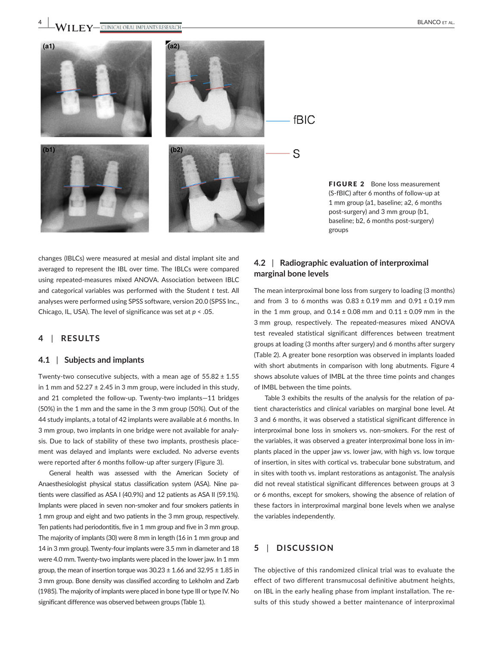



changes (IBLCs) were measured at mesial and distal implant site and averaged to represent the IBL over time. The IBLCs were compared using repeated-measures mixed ANOVA. Association between IBLC and categorical variables was performed with the Student *t* test. All analyses were performed using SPSS software, version 20.0 (SPSS Inc., Chicago, IL, USA). The level of significance was set at *p* < .05.

# **4** | **RESULTS**

## **4.1** | **Subjects and implants**

Twenty-two consecutive subjects, with a mean age of  $55.82 \pm 1.55$ in 1 mm and  $52.27 \pm 2.45$  in 3 mm group, were included in this study, and 21 completed the follow-up. Twenty-two implants—11 bridges (50%) in the 1 mm and the same in the 3 mm group (50%). Out of the 44 study implants, a total of 42 implants were available at 6 months. In 3 mm group, two implants in one bridge were not available for analysis. Due to lack of stability of these two implants, prosthesis placement was delayed and implants were excluded. No adverse events were reported after 6 months follow-up after surgery (Figure 3).

General health was assessed with the American Society of Anaesthesiologist physical status classification system (ASA). Nine patients were classified as ASA I (40.9%) and 12 patients as ASA II (59.1%). Implants were placed in seven non-smoker and four smokers patients in 1 mm group and eight and two patients in the 3 mm group, respectively. Ten patients had periodontitis, five in 1 mm group and five in 3 mm group. The majority of implants (30) were 8 mm in length (16 in 1 mm group and 14 in 3 mm group). Twenty-four implants were 3.5 mm in diameter and 18 were 4.0 mm. Twenty-two implants were placed in the lower jaw. In 1 mm group, the mean of insertion torque was  $30.23 \pm 1.66$  and  $32.95 \pm 1.85$  in 3 mm group. Bone density was classified according to Lekholm and Zarb (1985). The majority of implants were placed in bone type III or type IV. No significant difference was observed between groups (Table 1).

# **4.2** | **Radiographic evaluation of interproximal marginal bone levels**

The mean interproximal bone loss from surgery to loading (3 months) and from 3 to 6 months was  $0.83 \pm 0.19$  mm and  $0.91 \pm 0.19$  mm in the 1 mm group, and  $0.14 \pm 0.08$  mm and  $0.11 \pm 0.09$  mm in the 3 mm group, respectively. The repeated-measures mixed ANOVA test revealed statistical significant differences between treatment groups at loading (3 months after surgery) and 6 months after surgery (Table 2). A greater bone resorption was observed in implants loaded with short abutments in comparison with long abutments. Figure 4 shows absolute values of IMBL at the three time points and changes of IMBL between the time points.

Table 3 exhibits the results of the analysis for the relation of patient characteristics and clinical variables on marginal bone level. At 3 and 6 months, it was observed a statistical significant difference in interproximal bone loss in smokers vs. non-smokers. For the rest of the variables, it was observed a greater interproximal bone loss in implants placed in the upper jaw vs. lower jaw, with high vs. low torque of insertion, in sites with cortical vs. trabecular bone substratum, and in sites with tooth vs. implant restorations as antagonist. The analysis did not reveal statistical significant differences between groups at 3 or 6 months, except for smokers, showing the absence of relation of these factors in interproximal marginal bone levels when we analyse the variables independently.

# **5** | **DISCUSSION**

The objective of this randomized clinical trial was to evaluate the effect of two different transmucosal definitive abutment heights, on IBL in the early healing phase from implant installation. The results of this study showed a better maintenance of interproximal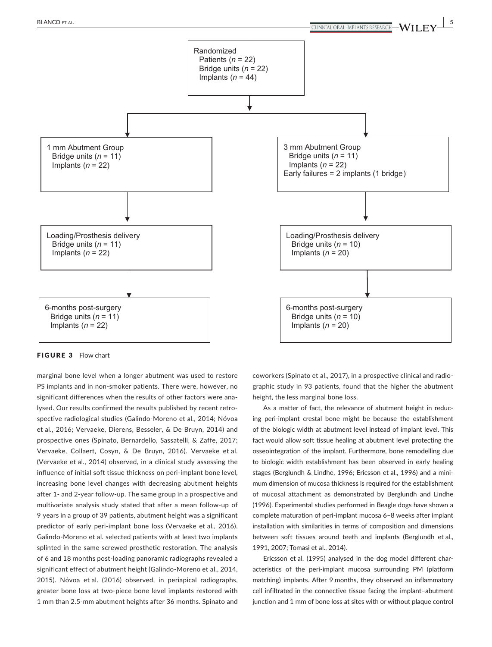

FIGURE 3 Flow chart

marginal bone level when a longer abutment was used to restore PS implants and in non-smoker patients. There were, however, no significant differences when the results of other factors were analysed. Our results confirmed the results published by recent retrospective radiological studies (Galindo-Moreno et al., 2014; Nóvoa et al., 2016; Vervaeke, Dierens, Besseler, & De Bruyn, 2014) and prospective ones (Spinato, Bernardello, Sassatelli, & Zaffe, 2017; Vervaeke, Collaert, Cosyn, & De Bruyn, 2016). Vervaeke et al. (Vervaeke et al., 2014) observed, in a clinical study assessing the influence of initial soft tissue thickness on peri-implant bone level, increasing bone level changes with decreasing abutment heights after 1- and 2-year follow-up. The same group in a prospective and multivariate analysis study stated that after a mean follow-up of 9 years in a group of 39 patients, abutment height was a significant predictor of early peri-implant bone loss (Vervaeke et al., 2016). Galindo-Moreno et al. selected patients with at least two implants splinted in the same screwed prosthetic restoration. The analysis of 6 and 18 months post-loading panoramic radiographs revealed a significant effect of abutment height (Galindo-Moreno et al., 2014, 2015). Nóvoa et al. (2016) observed, in periapical radiographs, greater bone loss at two-piece bone level implants restored with 1 mm than 2.5-mm abutment heights after 36 months. Spinato and

coworkers (Spinato et al., 2017), in a prospective clinical and radiographic study in 93 patients, found that the higher the abutment height, the less marginal bone loss.

As a matter of fact, the relevance of abutment height in reducing peri-implant crestal bone might be because the establishment of the biologic width at abutment level instead of implant level. This fact would allow soft tissue healing at abutment level protecting the osseointegration of the implant. Furthermore, bone remodelling due to biologic width establishment has been observed in early healing stages (Berglundh & Lindhe, 1996; Ericsson et al., 1996) and a minimum dimension of mucosa thickness is required for the establishment of mucosal attachment as demonstrated by Berglundh and Lindhe (1996). Experimental studies performed in Beagle dogs have shown a complete maturation of peri-implant mucosa 6–8 weeks after implant installation with similarities in terms of composition and dimensions between soft tissues around teeth and implants (Berglundh et al., 1991, 2007; Tomasi et al., 2014).

Ericsson et al. (1995) analysed in the dog model different characteristics of the peri-implant mucosa surrounding PM (platform matching) implants. After 9 months, they observed an inflammatory cell infiltrated in the connective tissue facing the implant–abutment junction and 1 mm of bone loss at sites with or without plaque control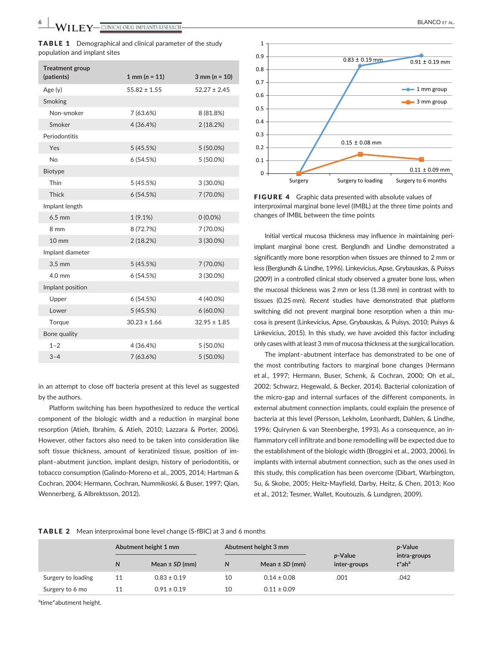| <b>TABLE 1</b> Demographical and clinical parameter of the study |
|------------------------------------------------------------------|
| population and implant sites                                     |

| <b>Treatment group</b> |                         |                     |
|------------------------|-------------------------|---------------------|
| (patients)             | $1 \text{ mm} (n = 11)$ | $3$ mm ( $n = 10$ ) |
| Age(y)                 | $55.82 \pm 1.55$        | $52.27 \pm 2.45$    |
| Smoking                |                         |                     |
| Non-smoker             | 7(63.6%)                | 8 (81.8%)           |
| Smoker                 | 4(36.4%)                | 2(18.2%)            |
| Periodontitis          |                         |                     |
| Yes                    | 5 (45.5%)               | 5 (50.0%)           |
| <b>No</b>              | 6(54.5%)                | 5 (50.0%)           |
| <b>Biotype</b>         |                         |                     |
| Thin                   | 5 (45.5%)               | $3(30.0\%)$         |
| <b>Thick</b>           | 6 (54.5%)               | 7 (70.0%)           |
| Implant length         |                         |                     |
| $6.5$ mm               | 1(9.1%)                 | $0(0.0\%)$          |
| 8 mm                   | 8 (72.7%)               | 7 (70.0%)           |
| $10 \text{ mm}$        | 2(18.2%)                | 3 (30.0%)           |
| Implant diameter       |                         |                     |
| $3.5 \text{ mm}$       | 5(45.5%)                | 7 (70.0%)           |
| $4.0 \text{ mm}$       | 6(54.5%)                | 3 (30.0%)           |
| Implant position       |                         |                     |
| Upper                  | 6(54.5%)                | 4 (40.0%)           |
| Lower                  | 5(45.5%)                | $6(60.0\%)$         |
| Torque                 | $30.23 \pm 1.66$        | $32.95 \pm 1.85$    |
| Bone quality           |                         |                     |
| $1 - 2$                | 4 (36.4%)               | $5(50.0\%)$         |
| $3 - 4$                | 7 (63.6%)               | 5 (50.0%)           |

in an attempt to close off bacteria present at this level as suggested by the authors.

Platform switching has been hypothesized to reduce the vertical component of the biologic width and a reduction in marginal bone resorption (Atieh, Ibrahim, & Atieh, 2010; Lazzara & Porter, 2006). However, other factors also need to be taken into consideration like soft tissue thickness, amount of keratinized tissue, position of implant–abutment junction, implant design, history of periodontitis, or tobacco consumption (Galindo-Moreno et al., 2005, 2014; Hartman & Cochran, 2004; Hermann, Cochran, Nummikoski, & Buser, 1997; Qian, Wennerberg, & Albrektsson, 2012).



FIGURE 4 Graphic data presented with absolute values of interproximal marginal bone level (IMBL) at the three time points and changes of IMBL between the time points

Initial vertical mucosa thickness may influence in maintaining periimplant marginal bone crest. Berglundh and Lindhe demonstrated a significantly more bone resorption when tissues are thinned to 2 mm or less (Berglundh & Lindhe, 1996). Linkevicius, Apse, Grybauskas, & Puisys (2009) in a controlled clinical study observed a greater bone loss, when the mucosal thickness was 2 mm or less (1.38 mm) in contrast with to tissues (0.25 mm). Recent studies have demonstrated that platform switching did not prevent marginal bone resorption when a thin mucosa is present (Linkevicius, Apse, Grybauskas, & Puisys, 2010; Puisys & Linkevicius, 2015). In this study, we have avoided this factor including only cases with at least 3 mm of mucosa thickness at the surgical location.

The implant–abutment interface has demonstrated to be one of the most contributing factors to marginal bone changes (Hermann et al., 1997; Hermann, Buser, Schenk, & Cochran, 2000; Oh et al., 2002; Schwarz, Hegewald, & Becker, 2014). Bacterial colonization of the micro-gap and internal surfaces of the different components, in external abutment connection implants, could explain the presence of bacteria at this level (Persson, Lekholm, Leonhardt, Dahlen, & Lindhe, 1996; Quirynen & van Steenberghe, 1993). As a consequence, an inflammatory cell infiltrate and bone remodelling will be expected due to the establishment of the biologic width (Broggini et al., 2003, 2006). In implants with internal abutment connection, such as the ones used in this study, this complication has been overcome (Dibart, Warbington, Su, & Skobe, 2005; Heitz-Mayfield, Darby, Heitz, & Chen, 2013; Koo et al., 2012; Tesmer, Wallet, Koutouzis, & Lundgren, 2009).

TABLE 2 Mean interproximal bone level change (S-fBIC) at 3 and 6 months

|                    |    | Abutment height 1 mm |    | Abutment height 3 mm |                         | p-Value                               |
|--------------------|----|----------------------|----|----------------------|-------------------------|---------------------------------------|
|                    | N  | Mean $\pm$ SD (mm)   | N  | Mean $\pm$ SD (mm)   | p-Value<br>inter-groups | intra-groups<br>$t^*$ ah <sup>a</sup> |
| Surgery to loading | 11 | $0.83 \pm 0.19$      | 10 | $0.14 \pm 0.08$      | .001                    | .042                                  |
| Surgery to 6 mo    | 11 | $0.91 \pm 0.19$      | 10 | $0.11 \pm 0.09$      |                         |                                       |

<sup>a</sup>time\*abutment height.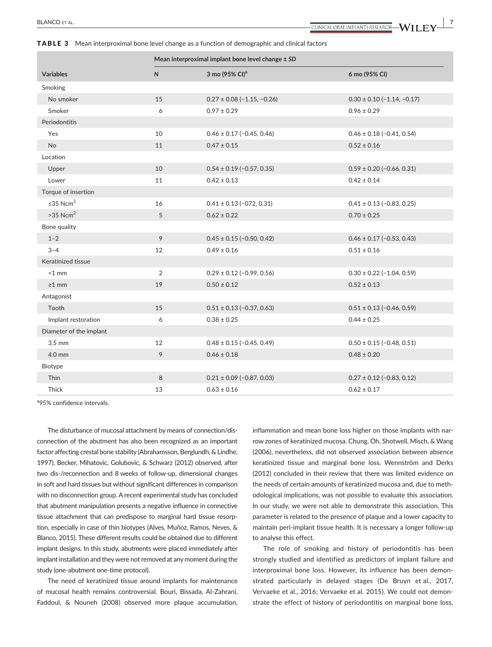The disturbance of mucosal attachment by means of connection/disconnection of the abutment has also been recognized as an important factor affecting crestal bone stability (Abrahamsson, Berglundh, & Lindhe, 1997). Becker, Mihatovic, Golubovic, & Schwarz (2012) observed, after two dis-/reconnection and 8 weeks of follow-up, dimensional changes in soft and hard tissues but without significant differences in comparison with no disconnection group. A recent experimental study has concluded that abutment manipulation presents a negative influence in connective tissue attachment that can predispose to marginal hard tissue resorption, especially in case of thin biotypes (Alves, Muñoz, Ramos, Neves, & Blanco, 2015). These different results could be obtained due to different implant designs. In this study, abutments were placed immediately after implant installation and they were not removed at any moment during the study (one-abutment one-time protocol). <sup>a</sup>95% confidence intervals.

The need of keratinized tissue around implants for maintenance of mucosal health remains controversial. Bouri, Bissada, Al-Zahrani, Faddoul, & Nouneh (2008) observed more plaque accumulation, inflammation and mean bone loss higher on those implants with narrow zones of keratinized mucosa. Chung, Oh, Shotwell, Misch, & Wang (2006), nevertheless, did not observed association between absence keratinized tissue and marginal bone loss. Wennström and Derks (2012) concluded in their review that there was limited evidence on the needs of certain amounts of keratinized mucosa and, due to methodological implications, was not possible to evaluate this association. In our study, we were not able to demonstrate this association. This parameter is related to the presence of plaque and a lower capacity to maintain peri-implant tissue health. It is necessary a longer follow-up to analyse this effect.

The role of smoking and history of periodontitis has been strongly studied and identified as predictors of implant failure and interproximal bone loss. However, its influence has been demonstrated particularly in delayed stages (De Bruyn et al., 2017, Vervaeke et al., 2016; Vervaeke et al. 2015). We could not demonstrate the effect of history of periodontitis on marginal bone loss,

|  | <b>TABLE 3</b> Mean interproximal bone level change as a function of demographic and clinical factors |  |  |  |  |
|--|-------------------------------------------------------------------------------------------------------|--|--|--|--|
|--|-------------------------------------------------------------------------------------------------------|--|--|--|--|

|                         | Mean interproximal implant bone level change ± SD |                                |                                |  |
|-------------------------|---------------------------------------------------|--------------------------------|--------------------------------|--|
| <b>Variables</b>        | $\mathsf{N}$                                      | 3 mo (95% CI) <sup>a</sup>     | 6 mo (95% CI)                  |  |
| Smoking                 |                                                   |                                |                                |  |
| No smoker               | 15                                                | $0.27 \pm 0.08 (-1.15, -0.26)$ | $0.30 \pm 0.10 (-1.14, -0.17)$ |  |
| Smoker                  | 6                                                 | $0.97 \pm 0.29$                | $0.96 \pm 0.29$                |  |
| Periodontitis           |                                                   |                                |                                |  |
| Yes                     | 10                                                | $0.46 \pm 0.17 (-0.45, 0.46)$  | $0.46 \pm 0.18 (-0.41, 0.54)$  |  |
| No                      | 11                                                | $0.47 \pm 0.15$                | $0.52 \pm 0.16$                |  |
| Location                |                                                   |                                |                                |  |
| Upper                   | 10                                                | $0.54 \pm 0.19 (-0.57, 0.35)$  | $0.59 \pm 0.20$ (-0.66, 0.31)  |  |
| Lower                   | 11                                                | $0.42 \pm 0.13$                | $0.42 \pm 0.14$                |  |
| Torque of insertion     |                                                   |                                |                                |  |
| ≤35 Ncm <sup>2</sup>    | 16                                                | $0.41 \pm 0.13$ (-072, 0.31)   | $0.41 \pm 0.13$ (-0.83, 0.25)  |  |
| $>35$ Ncm <sup>2</sup>  | 5                                                 | $0.62 \pm 0.22$                | $0.70 \pm 0.25$                |  |
| Bone quality            |                                                   |                                |                                |  |
| $1 - 2$                 | 9                                                 | $0.45 \pm 0.15 (-0.50, 0.42)$  | $0.46 \pm 0.17 (-0.53, 0.43)$  |  |
| $3 - 4$                 | 12                                                | $0.49 \pm 0.16$                | $0.51 \pm 0.16$                |  |
| Keratinized tissue      |                                                   |                                |                                |  |
| $<$ 1 mm                | 2                                                 | $0.29 \pm 0.12$ (-0.99, 0.56)  | $0.30 \pm 0.22$ (-1.04, 0.59)  |  |
| $\geq 1$ mm             | 19                                                | $0.50 \pm 0.12$                | $0.52 \pm 0.13$                |  |
| Antagonist              |                                                   |                                |                                |  |
| Tooth                   | 15                                                | $0.51 \pm 0.13$ (-0.37, 0.63)  | $0.51 \pm 0.13$ (-0.46, 0.59)  |  |
| Implant restoration     | 6                                                 | $0.38 \pm 0.25$                | $0.44 \pm 0.25$                |  |
| Diameter of the implant |                                                   |                                |                                |  |
| $3.5$ mm                | 12                                                | $0.48 \pm 0.15 (-0.45, 0.49)$  | $0.50 \pm 0.15 (-0.48, 0.51)$  |  |
| $4.0$ mm                | 9                                                 | $0.46 \pm 0.18$                | $0.48 \pm 0.20$                |  |
| Biotype                 |                                                   |                                |                                |  |
| <b>Thin</b>             | 8                                                 | $0.21 \pm 0.09$ (-0.87, 0.03)  | $0.27 \pm 0.12$ (-0.83, 0.12)  |  |
| Thick                   | 13                                                | $0.63 \pm 0.16$                | $0.62 \pm 0.17$                |  |

 **BLANCO** et al. **1997 1997 1998 1999 1999 1999 1999 1999 1999 1999 1999 1999 1999 1999 1999 1999 1999 1999 1999 1999 1999 1999 1999 1999 1999 1999 1999 1999 1999 1**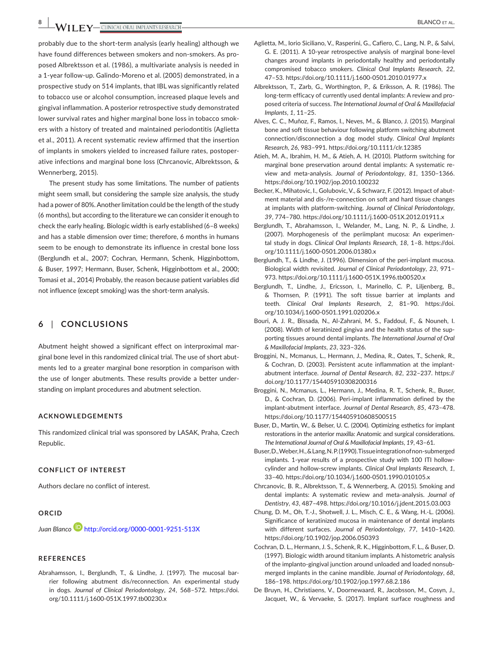**8 BLANCO ET AL.**<br> **BLANCO ET AL.**<br> **BLANCO ET AL.** 

probably due to the short-term analysis (early healing) although we have found differences between smokers and non-smokers. As proposed Albrektsson et al. (1986), a multivariate analysis is needed in a 1-year follow-up. Galindo-Moreno et al. (2005) demonstrated, in a prospective study on 514 implants, that IBL was significantly related to tobacco use or alcohol consumption, increased plaque levels and gingival inflammation. A posterior retrospective study demonstrated lower survival rates and higher marginal bone loss in tobacco smokers with a history of treated and maintained periodontitis (Aglietta et al., 2011). A recent systematic review affirmed that the insertion of implants in smokers yielded to increased failure rates, postoperative infections and marginal bone loss (Chrcanovic, Albrektsson, & Wennerberg, 2015).

The present study has some limitations. The number of patients might seem small, but considering the sample size analysis, the study had a power of 80%. Another limitation could be the length of the study (6 months), but according to the literature we can consider it enough to check the early healing. Biologic width is early established (6–8 weeks) and has a stable dimension over time; therefore, 6 months in humans seem to be enough to demonstrate its influence in crestal bone loss (Berglundh et al., 2007; Cochran, Hermann, Schenk, Higginbottom, & Buser, 1997; Hermann, Buser, Schenk, Higginbottom et al., 2000; Tomasi et al., 2014) Probably, the reason because patient variables did not influence (except smoking) was the short-term analysis.

# **6** | **CONCLUSIONS**

Abutment height showed a significant effect on interproximal marginal bone level in this randomized clinical trial. The use of short abutments led to a greater marginal bone resorption in comparison with the use of longer abutments. These results provide a better understanding on implant procedures and abutment selection.

## **ACKNOWLEDGEMENTS**

This randomized clinical trial was sponsored by LASAK, Praha, Czech Republic.

## **CONFLICT OF INTEREST**

Authors declare no conflict of interest.

#### **ORCID**

*Juan Blanco* <http://orcid.org/0000-0001-9251-513X>

## **REFERENCES**

Abrahamsson, I., Berglundh, T., & Lindhe, J. (1997). The mucosal barrier following abutment dis/reconnection. An experimental study in dogs. *Journal of Clinical Periodontology*, *24*, 568–572. [https://doi.](https://doi.org/10.1111/j.1600-051X.1997.tb00230.x) [org/10.1111/j.1600-051X.1997.tb00230.x](https://doi.org/10.1111/j.1600-051X.1997.tb00230.x)

- Aglietta, M., Iorio Siciliano, V., Rasperini, G., Cafiero, C., Lang, N. P., & Salvi, G. E. (2011). A 10-year retrospective analysis of marginal bone-level changes around implants in periodontally healthy and periodontally compromised tobacco smokers. *Clinical Oral Implants Research*, *22*, 47–53. <https://doi.org/10.1111/j.1600-0501.2010.01977.x>
- Albrektsson, T., Zarb, G., Worthington, P., & Eriksson, A. R. (1986). The long-term efficacy of currently used dental implants: A review and proposed criteria of success. *The International Journal of Oral & Maxillofacial Implants*, *1*, 11–25.
- Alves, C. C., Muñoz, F., Ramos, I., Neves, M., & Blanco, J. (2015). Marginal bone and soft tissue behaviour following platform switching abutment connection/disconnection a dog model study. *Clinical Oral Implants Research*, *26*, 983–991.<https://doi.org/10.1111/clr.12385>
- Atieh, M. A., Ibrahim, H. M., & Atieh, A. H. (2010). Platform switching for marginal bone preservation around dental implants: A systematic review and meta-analysis. *Journal of Periodontology*, *81*, 1350–1366. <https://doi.org/10.1902/jop.2010.100232>
- Becker, K., Mihatovic, I., Golubovic, V., & Schwarz, F. (2012). Impact of abutment material and dis-/re-connection on soft and hard tissue changes at implants with platform-switching. *Journal of Clinical Periodontology*, *39*, 774–780.<https://doi.org/10.1111/j.1600-051X.2012.01911.x>
- Berglundh, T., Abrahamsson, I., Welander, M., Lang, N. P., & Lindhe, J. (2007). Morphogenesis of the periimplant mucosa: An experimental study in dogs. *Clinical Oral Implants Research*, *18*, 1–8. [https://doi.](https://doi.org/10.1111/j.1600-0501.2006.01380.x) [org/10.1111/j.1600-0501.2006.01380.x](https://doi.org/10.1111/j.1600-0501.2006.01380.x)
- Berglundh, T., & Lindhe, J. (1996). Dimension of the peri-implant mucosa. Biological width revisited. *Journal of Clinical Periodontology*, *23*, 971– 973.<https://doi.org/10.1111/j.1600-051X.1996.tb00520.x>
- Berglundh, T., Lindhe, J., Ericsson, I., Marinello, C. P., Liljenberg, B., & Thornsen, P. (1991). The soft tissue barrier at implants and teeth. *Clinical Oral Implants Research*, *2*, 81–90. [https://doi.](https://doi.org/10.1034/j.1600-0501.1991.020206.x) [org/10.1034/j.1600-0501.1991.020206.x](https://doi.org/10.1034/j.1600-0501.1991.020206.x)
- Bouri, A. J. R., Bissada, N., Al-Zahrani, M. S., Faddoul, F., & Nouneh, I. (2008). Width of keratinized gingiva and the health status of the supporting tissues around dental implants. *The International Journal of Oral & Maxillofacial Implants*, *23*, 323–326.
- Broggini, N., Mcmanus, L., Hermann, J., Medina, R., Oates, T., Schenk, R., & Cochran, D. (2003). Persistent acute inflammation at the implantabutment interface. *Journal of Dental Research*, *82*, 232–237. [https://](https://doi.org/10.1177/154405910308200316) [doi.org/10.1177/154405910308200316](https://doi.org/10.1177/154405910308200316)
- Broggini, N., Mcmanus, L., Hermann, J., Medina, R. T., Schenk, R., Buser, D., & Cochran, D. (2006). Peri-implant inflammation defined by the implant-abutment interface. *Journal of Dental Research*, *85*, 473–478. <https://doi.org/10.1177/154405910608500515>
- Buser, D., Martin, W., & Belser, U. C. (2004). Optimizing esthetics for implant restorations in the anterior maxilla: Anatomic and surgical considerations. *The International Journal of Oral & Maxillofacial Implants*, *19*, 43–61.
- Buser, D., Weber, H., & Lang, N. P. (1990). Tissue integration of non-submerged implants. 1-year results of a prospective study with 100 ITI hollowcylinder and hollow-screw implants. *Clinical Oral Implants Research*, *1*, 33–40. <https://doi.org/10.1034/j.1600-0501.1990.010105.x>
- Chrcanovic, B. R., Albrektsson, T., & Wennerberg, A. (2015). Smoking and dental implants: A systematic review and meta-analysis. *Journal of Dentistry*, *43*, 487–498. <https://doi.org/10.1016/j.jdent.2015.03.003>
- Chung, D. M., Oh, T.-J., Shotwell, J. L., Misch, C. E., & Wang, H.-L. (2006). Significance of keratinized mucosa in maintenance of dental implants with different surfaces. *Journal of Periodontology*, *77*, 1410–1420. <https://doi.org/10.1902/jop.2006.050393>
- Cochran, D. L., Hermann, J. S., Schenk, R. K., Higginbottom, F. L., & Buser, D. (1997). Biologic width around titanium implants. A histometric analysis of the implanto-gingival junction around unloaded and loaded nonsubmerged implants in the canine mandible. *Journal of Periodontology*, *68*, 186–198. <https://doi.org/10.1902/jop.1997.68.2.186>
- De Bruyn, H., Christiaens, V., Doornewaard, R., Jacobsson, M., Cosyn, J., Jacquet, W., & Vervaeke, S. (2017). Implant surface roughness and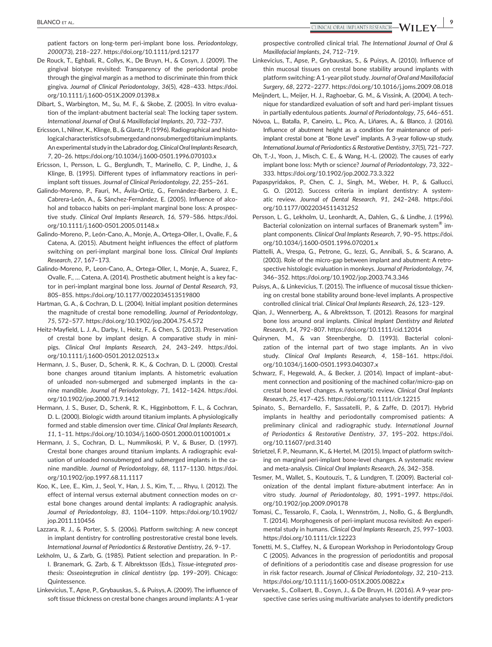patient factors on long-term peri-implant bone loss. *Periodontology*, *2000*(73), 218–227. <https://doi.org/10.1111/prd.12177>

De Rouck, T., Eghbali, R., Collys, K., De Bruyn, H., & Cosyn, J. (2009). The gingival biotype revisited: Transparency of the periodontal probe through the gingival margin as a method to discriminate thin from thick gingiva. *Journal of Clinical Periodontology*, *36*(5), 428–433. [https://doi.](https://doi.org/10.1111/j.1600-051X.2009.01398.x) [org/10.1111/j.1600-051X.2009.01398.x](https://doi.org/10.1111/j.1600-051X.2009.01398.x)

Dibart, S., Warbington, M., Su, M. F., & Skobe, Z. (2005). In vitro evaluation of the implant-abutment bacterial seal: The locking taper system. *International Journal of Oral & Maxillofacial Implants*, *20*, 732–737.

Ericsson, I., Nilner, K., Klinge, B., & Glantz, P. (1996). Radiographical and histological characteristics of submerged and nonsubmerged titanium implants. An experimental study in the Labrador dog. *Clinical Oral Implants Research*, *7*, 20–26.<https://doi.org/10.1034/j.1600-0501.1996.070103.x>

Ericsson, I., Persson, L. G., Berglundh, T., Marinello, C. P., Lindhe, J., & Klinge, B. (1995). Different types of inflammatory reactions in periimplant soft tissues. *Journal of Clinical Periodontology*, *22*, 255–261.

Galindo-Moreno, P., Fauri, M., Ávila-Ortiz, G., Fernández-Barbero, J. E., Cabrera-León, A., & Sánchez-Fernández, E. (2005). Influence of alcohol and tobacco habits on peri-implant marginal bone loss: A prospective study. *Clinical Oral Implants Research*, *16*, 579–586. [https://doi.](https://doi.org/10.1111/j.1600-0501.2005.01148.x) [org/10.1111/j.1600-0501.2005.01148.x](https://doi.org/10.1111/j.1600-0501.2005.01148.x)

Galindo-Moreno, P., León-Cano, A., Monje, A., Ortega-Oller, I., Ovalle, F., & Catena, A. (2015). Abutment height influences the effect of platform switching on peri-implant marginal bone loss. *Clinical Oral Implants Research*, *27*, 167–173.

Galindo-Moreno, P., Leon-Cano, A., Ortega-Oller, I., Monje, A., Suarez, F., Ovalle, F., … Catena, A. (2014). Prosthetic abutment height is a key factor in peri-implant marginal bone loss. *Journal of Dental Research*, *93*, 80S–85S.<https://doi.org/10.1177/0022034513519800>

Hartman, G. A., & Cochran, D. L. (2004). Initial implant position determines the magnitude of crestal bone remodelling. *Journal of Periodontology*, *75*, 572–577.<https://doi.org/10.1902/jop.2004.75.4.572>

Heitz-Mayfield, L. J. A., Darby, I., Heitz, F., & Chen, S. (2013). Preservation of crestal bone by implant design. A comparative study in minipigs. *Clinical Oral Implants Research*, *24*, 243–249. [https://doi.](https://doi.org/10.1111/j.1600-0501.2012.02513.x) [org/10.1111/j.1600-0501.2012.02513.x](https://doi.org/10.1111/j.1600-0501.2012.02513.x)

Hermann, J. S., Buser, D., Schenk, R. K., & Cochran, D. L. (2000). Crestal bone changes around titanium implants. A histometric evaluation of unloaded non-submerged and submerged implants in the canine mandible. *Journal of Periodontology*, *71*, 1412–1424. [https://doi.](https://doi.org/10.1902/jop.2000.71.9.1412) [org/10.1902/jop.2000.71.9.1412](https://doi.org/10.1902/jop.2000.71.9.1412)

Hermann, J. S., Buser, D., Schenk, R. K., Higginbottom, F. L., & Cochran, D. L. (2000). Biologic width around titanium implants. A physiologically formed and stable dimension over time. *Clinical Oral Implants Research*, *11*, 1–11.<https://doi.org/10.1034/j.1600-0501.2000.011001001.x>

Hermann, J. S., Cochran, D. L., Nummikoski, P. V., & Buser, D. (1997). Crestal bone changes around titanium implants. A radiographic evaluation of unloaded nonsubmerged and submerged implants in the canine mandible. *Journal of Periodontology*, *68*, 1117–1130. [https://doi.](https://doi.org/10.1902/jop.1997.68.11.1117) [org/10.1902/jop.1997.68.11.1117](https://doi.org/10.1902/jop.1997.68.11.1117)

Koo, K., Lee, E., Kim, J., Seol, Y., Han, J. S., Kim, T., … Rhyu, I. (2012). The effect of internal versus external abutment connection modes on crestal bone changes around dental implants: A radiographic analysis. *Journal of Periodontology*, *83*, 1104–1109. [https://doi.org/10.1902/](https://doi.org/10.1902/jop.2011.110456) [jop.2011.110456](https://doi.org/10.1902/jop.2011.110456)

Lazzara, R. J., & Porter, S. S. (2006). Platform switching: A new concept in implant dentistry for controlling postrestorative crestal bone levels. *International Journal of Periodontics & Restorative Dentistry*, *26*, 9–17.

Lekholm, U., & Zarb, G. (1985). Patient selection and preparation. In P.- I. Branemark, G. Zarb, & T. Albrektsson (Eds.), *Tissue-integrated prosthesis: Osseointegration in clinical dentistry* (pp. 199–209). Chicago: Quintessence.

Linkevicius, T., Apse, P., Grybauskas, S., & Puisys, A. (2009). The influence of soft tissue thickness on crestal bone changes around implants: A 1-year

prospective controlled clinical trial. *The International Journal of Oral & Maxillofacial Implants*, *24*, 712–719.

Linkevicius, T., Apse, P., Grybauskas, S., & Puisys, A. (2010). Influence of thin mucosal tissues on crestal bone stability around implants with platform switching: A 1-year pilot study. *Journal of Oral and Maxillofacial Surgery*, *68*, 2272–2277. <https://doi.org/10.1016/j.joms.2009.08.018>

Meijndert, L., Meijer, H. J., Raghoebar, G. M., & Vissink, A. (2004). A technique for standardized evaluation of soft and hard peri-implant tissues in partially edentulous patients. *Journal of Periodontology*, *75*, 646–651.

Nóvoa, L., Batalla, P., Caneiro, L., Pico, A., Liñares, A., & Blanco, J. (2016). Influence of abutment height as a condition for maintenance of periimplant crestal bone at "Bone Level" implants. A 3-year follow-up study. *International Journal of Periodontics & Restorative Dentistry*, *37*(5), 721–727.

Oh, T.-J., Yoon, J., Misch, C. E., & Wang, H.-L. (2002). The causes of early implant bone loss: Myth or science? *Journal of Periodontology*, *73*, 322– 333. <https://doi.org/10.1902/jop.2002.73.3.322>

Papaspyridakos, P., Chen, C. J., Singh, M., Weber, H. P., & Gallucci, G. O. (2012). Success criteria in implant dentistry: A systematic review. *Journal of Dental Research*, *91*, 242–248. [https://doi.](https://doi.org/10.1177/0022034511431252) [org/10.1177/0022034511431252](https://doi.org/10.1177/0022034511431252)

Persson, L. G., Lekholm, U., Leonhardt, A., Dahlen, G., & Lindhe, J. (1996). Bacterial colonization on internal surfaces of Branemark system® implant components. *Clinical Oral Implants Research*, *7*, 90–95. [https://doi.](https://doi.org/10.1034/j.1600-0501.1996.070201.x) [org/10.1034/j.1600-0501.1996.070201.x](https://doi.org/10.1034/j.1600-0501.1996.070201.x)

Piattelli, A., Vrespa, G., Petrone, G., Iezzi, G., Annibali, S., & Scarano, A. (2003). Role of the micro-gap between implant and abutment: A retrospective histologic evaluation in monkeys. *Journal of Periodontology*, *74*, 346–352. <https://doi.org/10.1902/jop.2003.74.3.346>

Puisys, A., & Linkevicius, T. (2015). The influence of mucosal tissue thickening on crestal bone stability around bone-level implants. A prospective controlled clinical trial. *Clinical Oral Implants Research*, *26*, 123–129.

Qian, J., Wennerberg, A., & Albrektsson, T. (2012). Reasons for marginal bone loss around oral implants. *Clinical Implant Dentistry and Related Research*, *14*, 792–807. <https://doi.org/10.1111/cid.12014>

Quirynen, M., & van Steenberghe, D. (1993). Bacterial colonization of the internal part of two stage implants. An in vivo study. *Clinical Oral Implants Research*, *4*, 158–161. [https://doi.](https://doi.org/10.1034/j.1600-0501.1993.040307.x) [org/10.1034/j.1600-0501.1993.040307.x](https://doi.org/10.1034/j.1600-0501.1993.040307.x)

Schwarz, F., Hegewald, A., & Becker, J. (2014). Impact of implant–abutment connection and positioning of the machined collar/micro-gap on crestal bone level changes. A systematic review. *Clinical Oral Implants Research*, *25*, 417–425. <https://doi.org/10.1111/clr.12215>

Spinato, S., Bernardello, F., Sassatelli, P., & Zaffe, D. (2017). Hybrid implants in healthy and periodontally compromised patients: A preliminary clinical and radiographic study. *International Journal of Periodontics & Restorative Dentistry*, *37*, 195–202. [https://doi.](https://doi.org/10.11607/prd.3140) [org/10.11607/prd.3140](https://doi.org/10.11607/prd.3140)

Strietzel, F. P., Neumann, K., & Hertel, M. (2015). Impact of platform switching on marginal peri-implant bone-level changes. A systematic review and meta-analysis. *Clinical Oral Implants Research*, *26*, 342–358.

Tesmer, M., Wallet, S., Koutouzis, T., & Lundgren, T. (2009). Bacterial colonization of the dental implant fixture-abutment interface: An in vitro study. *Journal of Periodontology*, *80*, 1991–1997. [https://doi.](https://doi.org/10.1902/jop.2009.090178) [org/10.1902/jop.2009.090178](https://doi.org/10.1902/jop.2009.090178)

Tomasi, C., Tessarolo, F., Caola, I., Wennström, J., Nollo, G., & Berglundh, T. (2014). Morphogenesis of peri-implant mucosa revisited: An experimental study in humans. *Clinical Oral Implants Research*, *25*, 997–1003. <https://doi.org/10.1111/clr.12223>

Tonetti, M. S., Claffey, N., & European Workshop in Periodontology Group C (2005). Advances in the progression of periodontitis and proposal of definitions of a periodontitis case and disease progression for use in risk factor research. *Journal of Clinical Periodontology*, *32*, 210–213. <https://doi.org/10.1111/j.1600-051X.2005.00822.x>

Vervaeke, S., Collaert, B., Cosyn, J., & De Bruyn, H. (2016). A 9-year prospective case series using multivariate analyses to identify predictors